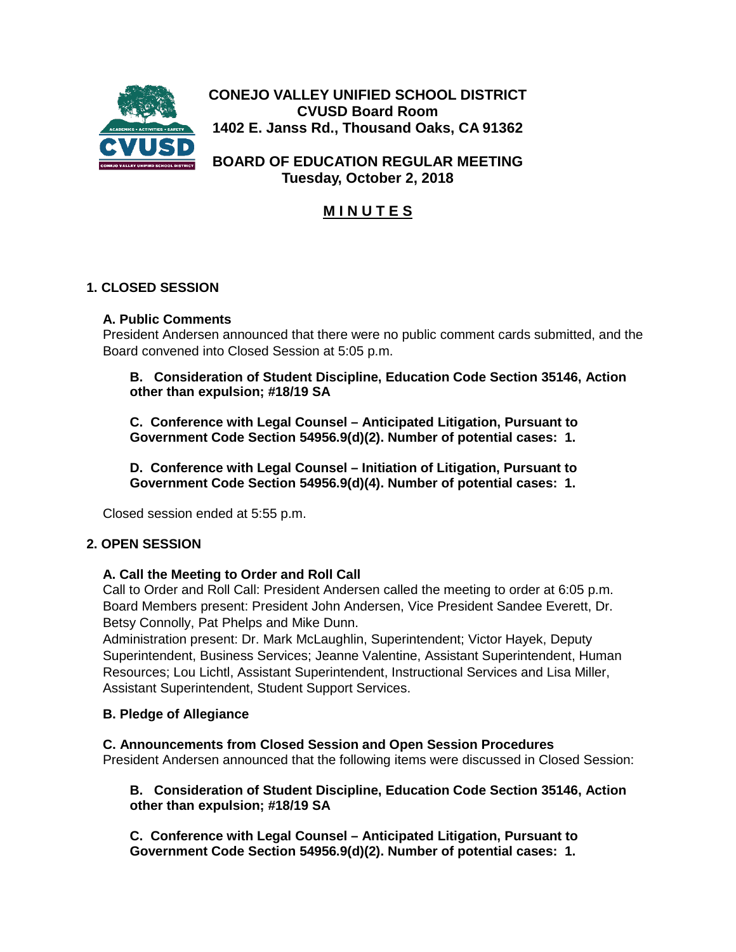

**CONEJO VALLEY UNIFIED SCHOOL DISTRICT CVUSD Board Room 1402 E. Janss Rd., Thousand Oaks, CA 91362**

**BOARD OF EDUCATION REGULAR MEETING Tuesday, October 2, 2018**

# **M I N U T E S**

# **1. CLOSED SESSION**

# **A. Public Comments**

President Andersen announced that there were no public comment cards submitted, and the Board convened into Closed Session at 5:05 p.m.

**B. Consideration of Student Discipline, Education Code Section 35146, Action other than expulsion; #18/19 SA**

**C. Conference with Legal Counsel – Anticipated Litigation, Pursuant to Government Code Section 54956.9(d)(2). Number of potential cases: 1.**

**D. Conference with Legal Counsel – Initiation of Litigation, Pursuant to Government Code Section 54956.9(d)(4). Number of potential cases: 1.**

Closed session ended at 5:55 p.m.

# **2. OPEN SESSION**

### **A. Call the Meeting to Order and Roll Call**

Call to Order and Roll Call: President Andersen called the meeting to order at 6:05 p.m. Board Members present: President John Andersen, Vice President Sandee Everett, Dr. Betsy Connolly, Pat Phelps and Mike Dunn.

Administration present: Dr. Mark McLaughlin, Superintendent; Victor Hayek, Deputy Superintendent, Business Services; Jeanne Valentine, Assistant Superintendent, Human Resources; Lou Lichtl, Assistant Superintendent, Instructional Services and Lisa Miller, Assistant Superintendent, Student Support Services.

### **B. Pledge of Allegiance**

# **C. Announcements from Closed Session and Open Session Procedures**

President Andersen announced that the following items were discussed in Closed Session:

**B. Consideration of Student Discipline, Education Code Section 35146, Action other than expulsion; #18/19 SA**

**C. Conference with Legal Counsel – Anticipated Litigation, Pursuant to Government Code Section 54956.9(d)(2). Number of potential cases: 1.**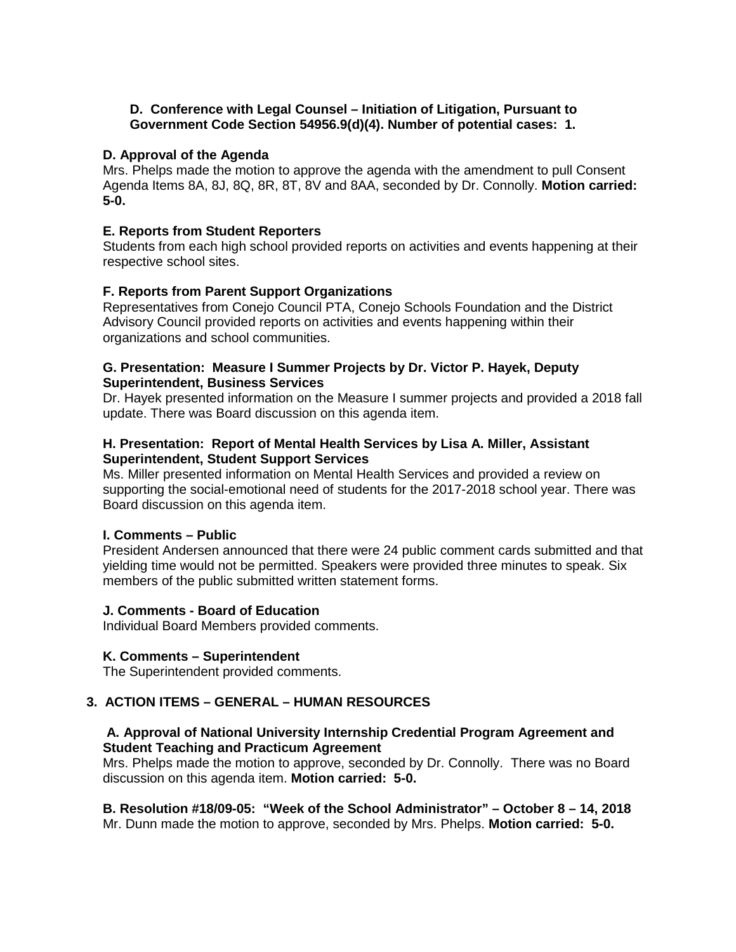#### **D. Conference with Legal Counsel – Initiation of Litigation, Pursuant to Government Code Section 54956.9(d)(4). Number of potential cases: 1.**

#### **D. Approval of the Agenda**

Mrs. Phelps made the motion to approve the agenda with the amendment to pull Consent Agenda Items 8A, 8J, 8Q, 8R, 8T, 8V and 8AA, seconded by Dr. Connolly. **Motion carried: 5-0.**

#### **E. Reports from Student Reporters**

Students from each high school provided reports on activities and events happening at their respective school sites.

#### **F. Reports from Parent Support Organizations**

Representatives from Conejo Council PTA, Conejo Schools Foundation and the District Advisory Council provided reports on activities and events happening within their organizations and school communities.

#### **G. Presentation: Measure I Summer Projects by Dr. Victor P. Hayek, Deputy Superintendent, Business Services**

Dr. Hayek presented information on the Measure I summer projects and provided a 2018 fall update. There was Board discussion on this agenda item.

#### **H. Presentation: Report of Mental Health Services by Lisa A. Miller, Assistant Superintendent, Student Support Services**

Ms. Miller presented information on Mental Health Services and provided a review on supporting the social-emotional need of students for the 2017-2018 school year. There was Board discussion on this agenda item.

#### **I. Comments – Public**

President Andersen announced that there were 24 public comment cards submitted and that yielding time would not be permitted. Speakers were provided three minutes to speak. Six members of the public submitted written statement forms.

#### **J. Comments - Board of Education**

Individual Board Members provided comments.

#### **K. Comments – Superintendent**

The Superintendent provided comments.

### **3. ACTION ITEMS – GENERAL – HUMAN RESOURCES**

### **A. Approval of National University Internship Credential Program Agreement and Student Teaching and Practicum Agreement**

Mrs. Phelps made the motion to approve, seconded by Dr. Connolly. There was no Board discussion on this agenda item. **Motion carried: 5-0.**

**B. Resolution #18/09-05: "Week of the School Administrator" – October 8 – 14, 2018** Mr. Dunn made the motion to approve, seconded by Mrs. Phelps. **Motion carried: 5-0.**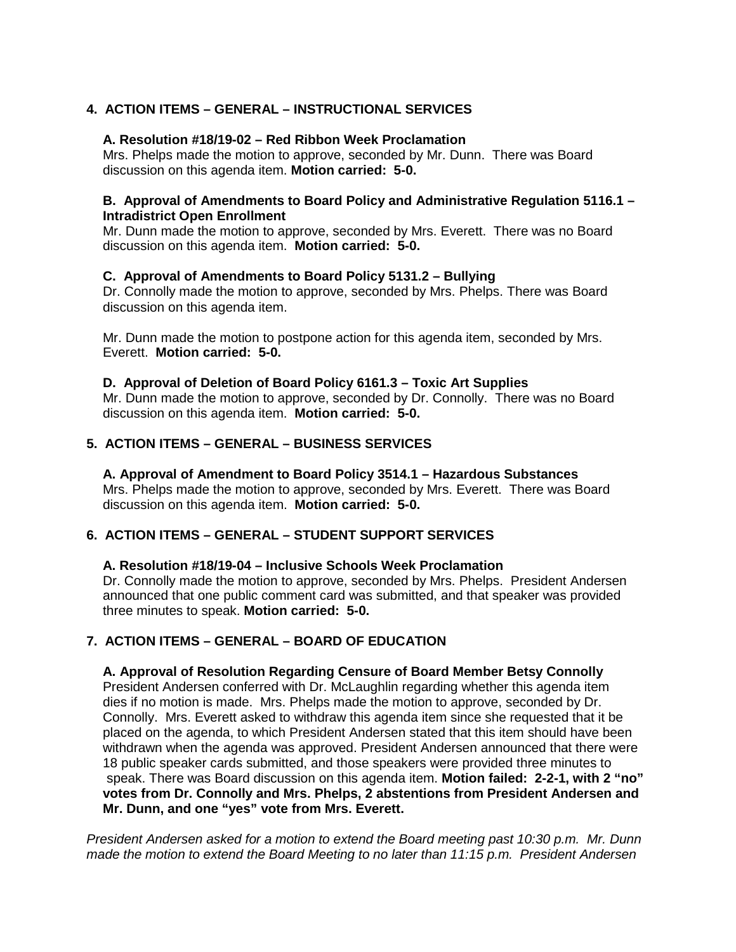# **4. ACTION ITEMS – GENERAL – INSTRUCTIONAL SERVICES**

#### **A. Resolution #18/19-02 – Red Ribbon Week Proclamation**

Mrs. Phelps made the motion to approve, seconded by Mr. Dunn. There was Board discussion on this agenda item. **Motion carried: 5-0.**

#### **B. Approval of Amendments to Board Policy and Administrative Regulation 5116.1 – Intradistrict Open Enrollment**

Mr. Dunn made the motion to approve, seconded by Mrs. Everett. There was no Board discussion on this agenda item. **Motion carried: 5-0.**

#### **C. Approval of Amendments to Board Policy 5131.2 – Bullying**

Dr. Connolly made the motion to approve, seconded by Mrs. Phelps. There was Board discussion on this agenda item.

Mr. Dunn made the motion to postpone action for this agenda item, seconded by Mrs. Everett. **Motion carried: 5-0.**

#### **D. Approval of Deletion of Board Policy 6161.3 – Toxic Art Supplies**

Mr. Dunn made the motion to approve, seconded by Dr. Connolly. There was no Board discussion on this agenda item. **Motion carried: 5-0.**

### **5. ACTION ITEMS – GENERAL – BUSINESS SERVICES**

#### **A. Approval of Amendment to Board Policy 3514.1 – Hazardous Substances**

Mrs. Phelps made the motion to approve, seconded by Mrs. Everett. There was Board discussion on this agenda item. **Motion carried: 5-0.**

### **6. ACTION ITEMS – GENERAL – STUDENT SUPPORT SERVICES**

#### **A. Resolution #18/19-04 – Inclusive Schools Week Proclamation**

Dr. Connolly made the motion to approve, seconded by Mrs. Phelps. President Andersen announced that one public comment card was submitted, and that speaker was provided three minutes to speak. **Motion carried: 5-0.**

### **7. ACTION ITEMS – GENERAL – BOARD OF EDUCATION**

#### **A. Approval of Resolution Regarding Censure of Board Member Betsy Connolly**

President Andersen conferred with Dr. McLaughlin regarding whether this agenda item dies if no motion is made. Mrs. Phelps made the motion to approve, seconded by Dr. Connolly. Mrs. Everett asked to withdraw this agenda item since she requested that it be placed on the agenda, to which President Andersen stated that this item should have been withdrawn when the agenda was approved. President Andersen announced that there were 18 public speaker cards submitted, and those speakers were provided three minutes to speak. There was Board discussion on this agenda item. **Motion failed: 2-2-1, with 2 "no" votes from Dr. Connolly and Mrs. Phelps, 2 abstentions from President Andersen and Mr. Dunn, and one "yes" vote from Mrs. Everett.** 

*President Andersen asked for a motion to extend the Board meeting past 10:30 p.m. Mr. Dunn made the motion to extend the Board Meeting to no later than 11:15 p.m. President Andersen*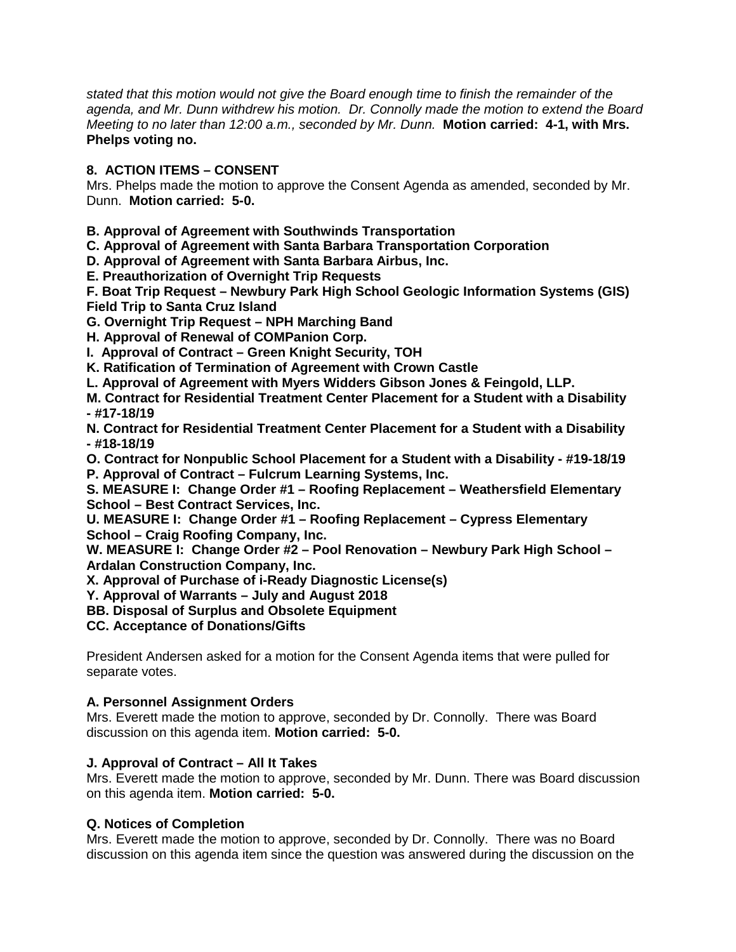*stated that this motion would not give the Board enough time to finish the remainder of the agenda, and Mr. Dunn withdrew his motion. Dr. Connolly made the motion to extend the Board Meeting to no later than 12:00 a.m., seconded by Mr. Dunn.* **Motion carried: 4-1, with Mrs. Phelps voting no.**

# **8. ACTION ITEMS – CONSENT**

Mrs. Phelps made the motion to approve the Consent Agenda as amended, seconded by Mr. Dunn. **Motion carried: 5-0.**

**B. Approval of Agreement with Southwinds Transportation**

**C. Approval of Agreement with Santa Barbara Transportation Corporation**

**D. Approval of Agreement with Santa Barbara Airbus, Inc.**

**E. Preauthorization of Overnight Trip Requests**

**F. Boat Trip Request – Newbury Park High School Geologic Information Systems (GIS) Field Trip to Santa Cruz Island**

**G. Overnight Trip Request – NPH Marching Band**

**H. Approval of Renewal of COMPanion Corp.**

**I. Approval of Contract – Green Knight Security, TOH**

**K. Ratification of Termination of Agreement with Crown Castle**

**L. Approval of Agreement with Myers Widders Gibson Jones & Feingold, LLP.**

**M. Contract for Residential Treatment Center Placement for a Student with a Disability - #17-18/19**

**N. Contract for Residential Treatment Center Placement for a Student with a Disability - #18-18/19**

**O. Contract for Nonpublic School Placement for a Student with a Disability - #19-18/19 P. Approval of Contract – Fulcrum Learning Systems, Inc.**

**S. MEASURE I: Change Order #1 – Roofing Replacement – Weathersfield Elementary School – Best Contract Services, Inc.**

**U. MEASURE I: Change Order #1 – Roofing Replacement – Cypress Elementary School – Craig Roofing Company, Inc.**

**W. MEASURE I: Change Order #2 – Pool Renovation – Newbury Park High School – Ardalan Construction Company, Inc.**

**X. Approval of Purchase of i-Ready Diagnostic License(s)**

**Y. Approval of Warrants – July and August 2018**

**BB. Disposal of Surplus and Obsolete Equipment**

**CC. Acceptance of Donations/Gifts**

President Andersen asked for a motion for the Consent Agenda items that were pulled for separate votes.

### **A. Personnel Assignment Orders**

Mrs. Everett made the motion to approve, seconded by Dr. Connolly. There was Board discussion on this agenda item. **Motion carried: 5-0.**

#### **J. Approval of Contract – All It Takes**

Mrs. Everett made the motion to approve, seconded by Mr. Dunn. There was Board discussion on this agenda item. **Motion carried: 5-0.**

### **Q. Notices of Completion**

Mrs. Everett made the motion to approve, seconded by Dr. Connolly. There was no Board discussion on this agenda item since the question was answered during the discussion on the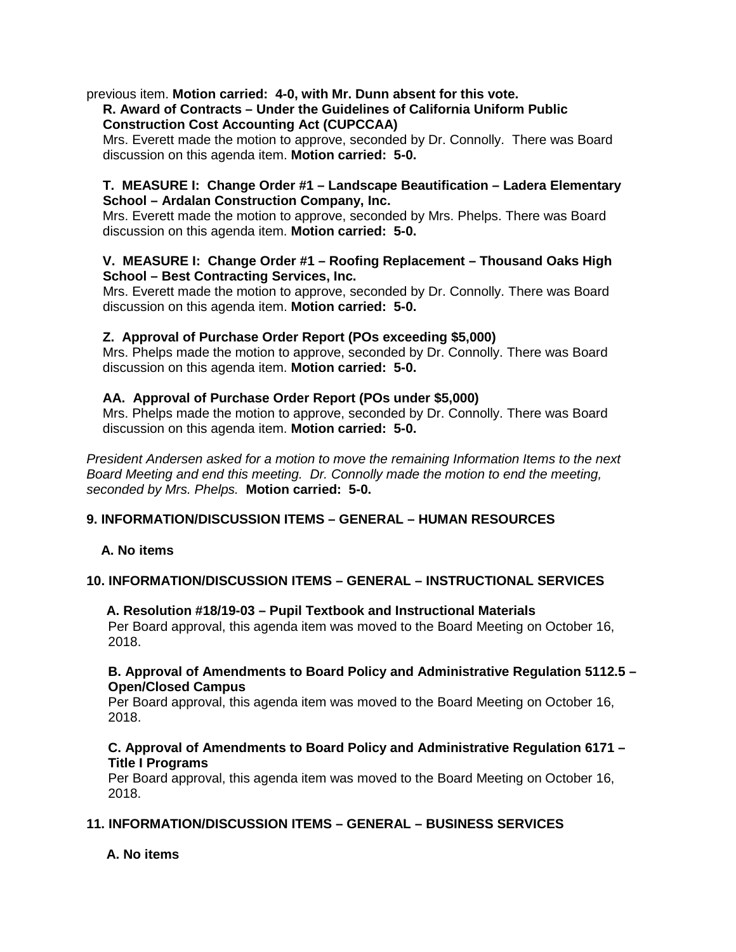previous item. **Motion carried: 4-0, with Mr. Dunn absent for this vote.**

### **R. Award of Contracts – Under the Guidelines of California Uniform Public Construction Cost Accounting Act (CUPCCAA)**

Mrs. Everett made the motion to approve, seconded by Dr. Connolly. There was Board discussion on this agenda item. **Motion carried: 5-0.**

#### **T. MEASURE I: Change Order #1 – Landscape Beautification – Ladera Elementary School – Ardalan Construction Company, Inc.**

Mrs. Everett made the motion to approve, seconded by Mrs. Phelps. There was Board discussion on this agenda item. **Motion carried: 5-0.**

### **V. MEASURE I: Change Order #1 – Roofing Replacement – Thousand Oaks High School – Best Contracting Services, Inc.**

Mrs. Everett made the motion to approve, seconded by Dr. Connolly. There was Board discussion on this agenda item. **Motion carried: 5-0.**

### **Z. Approval of Purchase Order Report (POs exceeding \$5,000)**

Mrs. Phelps made the motion to approve, seconded by Dr. Connolly. There was Board discussion on this agenda item. **Motion carried: 5-0.**

### **AA. Approval of Purchase Order Report (POs under \$5,000)**

Mrs. Phelps made the motion to approve, seconded by Dr. Connolly. There was Board discussion on this agenda item. **Motion carried: 5-0.**

*President Andersen asked for a motion to move the remaining Information Items to the next Board Meeting and end this meeting. Dr. Connolly made the motion to end the meeting, seconded by Mrs. Phelps.* **Motion carried: 5-0.**

# **9. INFORMATION/DISCUSSION ITEMS – GENERAL – HUMAN RESOURCES**

### **A. No items**

### **10. INFORMATION/DISCUSSION ITEMS – GENERAL – INSTRUCTIONAL SERVICES**

### **A. Resolution #18/19-03 – Pupil Textbook and Instructional Materials**

Per Board approval, this agenda item was moved to the Board Meeting on October 16, 2018.

#### **B. Approval of Amendments to Board Policy and Administrative Regulation 5112.5 – Open/Closed Campus**

Per Board approval, this agenda item was moved to the Board Meeting on October 16, 2018.

### **C. Approval of Amendments to Board Policy and Administrative Regulation 6171 – Title I Programs**

Per Board approval, this agenda item was moved to the Board Meeting on October 16, 2018.

# **11. INFORMATION/DISCUSSION ITEMS – GENERAL – BUSINESS SERVICES**

### **A. No items**